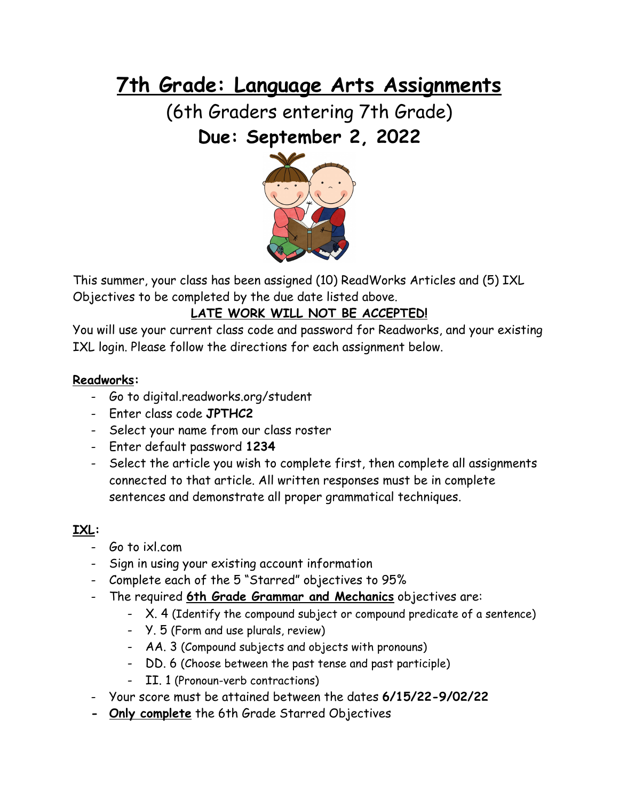# **7th Grade: Language Arts Assignments**

(6th Graders entering 7th Grade) **Due: September 2, 2022**



This summer, your class has been assigned (10) ReadWorks Articles and (5) IXL Objectives to be completed by the due date listed above.

# **LATE WORK WILL NOT BE ACCEPTED!**

You will use your current class code and password for Readworks, and your existing IXL login. Please follow the directions for each assignment below.

## **Readworks:**

- Go to digital.readworks.org/student
- Enter class code **JPTHC2**
- Select your name from our class roster
- Enter default password **1234**
- Select the article you wish to complete first, then complete all assignments connected to that article. All written responses must be in complete sentences and demonstrate all proper grammatical techniques.

# **IXL:**

- Go to ixl.com
- Sign in using your existing account information
- Complete each of the 5 "Starred" objectives to 95%
- The required **6th Grade Grammar and Mechanics** objectives are:
	- X. 4 (Identify the compound subject or compound predicate of a sentence)
	- Y. 5 (Form and use plurals, review)
	- AA. 3 (Compound subjects and objects with pronouns)
	- DD. 6 (Choose between the past tense and past participle)
	- II. 1 (Pronoun-verb contractions)
- Your score must be attained between the dates **6/15/22-9/02/22**
- **- Only complete** the 6th Grade Starred Objectives